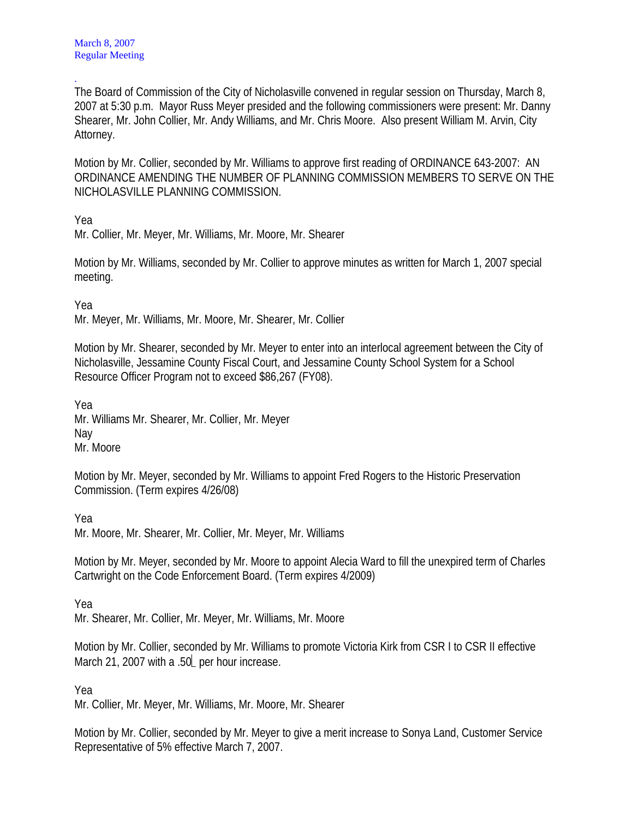. The Board of Commission of the City of Nicholasville convened in regular session on Thursday, March 8, 2007 at 5:30 p.m. Mayor Russ Meyer presided and the following commissioners were present: Mr. Danny Shearer, Mr. John Collier, Mr. Andy Williams, and Mr. Chris Moore. Also present William M. Arvin, City Attorney.

Motion by Mr. Collier, seconded by Mr. Williams to approve first reading of ORDINANCE 643-2007: AN ORDINANCE AMENDING THE NUMBER OF PLANNING COMMISSION MEMBERS TO SERVE ON THE NICHOLASVILLE PLANNING COMMISSION.

Yea

Mr. Collier, Mr. Meyer, Mr. Williams, Mr. Moore, Mr. Shearer

Motion by Mr. Williams, seconded by Mr. Collier to approve minutes as written for March 1, 2007 special meeting.

Yea

Mr. Meyer, Mr. Williams, Mr. Moore, Mr. Shearer, Mr. Collier

Motion by Mr. Shearer, seconded by Mr. Meyer to enter into an interlocal agreement between the City of Nicholasville, Jessamine County Fiscal Court, and Jessamine County School System for a School Resource Officer Program not to exceed \$86,267 (FY08).

Yea

Mr. Williams Mr. Shearer, Mr. Collier, Mr. Meyer Nay Mr. Moore

Motion by Mr. Meyer, seconded by Mr. Williams to appoint Fred Rogers to the Historic Preservation Commission. (Term expires 4/26/08)

Yea

Mr. Moore, Mr. Shearer, Mr. Collier, Mr. Meyer, Mr. Williams

Motion by Mr. Meyer, seconded by Mr. Moore to appoint Alecia Ward to fill the unexpired term of Charles Cartwright on the Code Enforcement Board. (Term expires 4/2009)

Yea

Mr. Shearer, Mr. Collier, Mr. Meyer, Mr. Williams, Mr. Moore

Motion by Mr. Collier, seconded by Mr. Williams to promote Victoria Kirk from CSR I to CSR II effective March 21, 2007 with a .50 per hour increase.

Yea

Mr. Collier, Mr. Meyer, Mr. Williams, Mr. Moore, Mr. Shearer

Motion by Mr. Collier, seconded by Mr. Meyer to give a merit increase to Sonya Land, Customer Service Representative of 5% effective March 7, 2007.